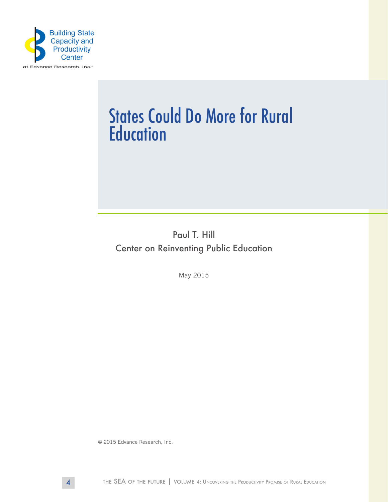

# States Could Do More for Rural **Education**

Paul T. Hill Center on Reinventing Public Education

May 2015

© 2015 Edvance Research, Inc.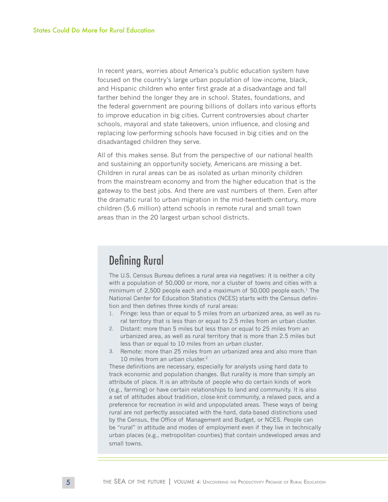In recent years, worries about America's public education system have focused on the country's large urban population of low-income, black, and Hispanic children who enter first grade at a disadvantage and fall farther behind the longer they are in school. States, foundations, and the federal government are pouring billions of dollars into various efforts to improve education in big cities. Current controversies about charter schools, mayoral and state takeovers, union influence, and closing and replacing low-performing schools have focused in big cities and on the disadvantaged children they serve.

All of this makes sense. But from the perspective of our national health and sustaining an opportunity society, Americans are missing a bet. Children in rural areas can be as isolated as urban minority children from the mainstream economy and from the higher education that is the gateway to the best jobs. And there are vast numbers of them. Even after the dramatic rural to urban migration in the mid-twentieth century, more children (5.6 million) attend schools in remote rural and small town areas than in the 20 largest urban school districts.

## Defining Rural

The U.S. Census Bureau defines a rural area via negatives: it is neither a city with a population of 50,000 or more, nor a cluster of towns and cities with a minimum of 2,500 people each and a maximum of  $50,000$  people each.<sup>1</sup> The National Center for Education Statistics (NCES) starts with the Census definition and then defines three kinds of rural areas:

- 1. Fringe: less than or equal to 5 miles from an urbanized area, as well as rural territory that is less than or equal to 2.5 miles from an urban cluster.
- 2. Distant: more than 5 miles but less than or equal to 25 miles from an urbanized area, as well as rural territory that is more than 2.5 miles but less than or equal to 10 miles from an urban cluster.
- 3. Remote: more than 25 miles from an urbanized area and also more than 10 miles from an urban cluster.2

These definitions are necessary, especially for analysts using hard data to track economic and population changes. But rurality is more than simply an attribute of place. It is an attribute of people who do certain kinds of work (e.g., farming) or have certain relationships to land and community. It is also a set of attitudes about tradition, close-knit community, a relaxed pace, and a preference for recreation in wild and unpopulated areas. These ways of being rural are not perfectly associated with the hard, data-based distinctions used by the Census, the Office of Management and Budget, or NCES. People can be "rural" in attitude and modes of employment even if they live in technically urban places (e.g., metropolitan counties) that contain undeveloped areas and small towns.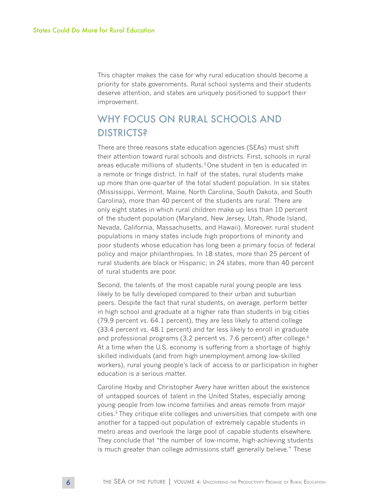This chapter makes the case for why rural education should become a priority for state governments. Rural school systems and their students deserve attention, and states are uniquely positioned to support their improvement.

## WHY FOCUS ON RURAL SCHOOLS AND **DISTRICTS?**

There are three reasons state education agencies (SEAs) must shift their attention toward rural schools and districts. First, schools in rural areas educate millions of students.3 One student in ten is educated in a remote or fringe district. In half of the states, rural students make up more than one-quarter of the total student population. In six states (Mississippi, Vermont, Maine, North Carolina, South Dakota, and South Carolina), more than 40 percent of the students are rural. There are only eight states in which rural children make up less than 10 percent of the student population (Maryland, New Jersey, Utah, Rhode Island, Nevada, California, Massachusetts, and Hawaii). Moreover, rural student populations in many states include high proportions of minority and poor students whose education has long been a primary focus of federal policy and major philanthropies. In 18 states, more than 25 percent of rural students are black or Hispanic; in 24 states, more than 40 percent of rural students are poor.

Second, the talents of the most capable rural young people are less likely to be fully developed compared to their urban and suburban peers. Despite the fact that rural students, on average, perform better in high school and graduate at a higher rate than students in big cities (79.9 percent vs. 64.1 percent), they are less likely to attend college (33.4 percent vs. 48.1 percent) and far less likely to enroll in graduate and professional programs (3.2 percent vs. 7.6 percent) after college.<sup>4</sup> At a time when the U.S. economy is suffering from a shortage of highly skilled individuals (and from high unemployment among low-skilled workers), rural young people's lack of access to or participation in higher education is a serious matter.

Caroline Hoxby and Christopher Avery have written about the existence of untapped sources of talent in the United States, especially among young people from low-income families and areas remote from major cities.5 They critique elite colleges and universities that compete with one another for a tapped-out population of extremely capable students in metro areas and overlook the large pool of capable students elsewhere. They conclude that "the number of low-income, high-achieving students is much greater than college admissions staff generally believe." These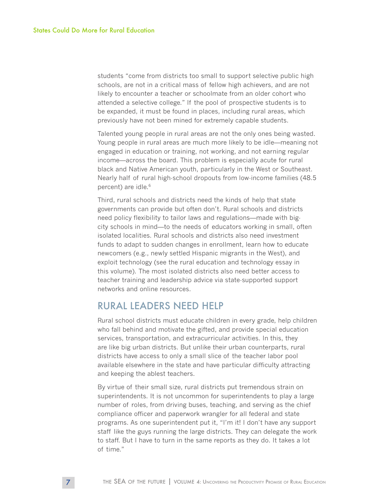students "come from districts too small to support selective public high schools, are not in a critical mass of fellow high achievers, and are not likely to encounter a teacher or schoolmate from an older cohort who attended a selective college." If the pool of prospective students is to be expanded, it must be found in places, including rural areas, which previously have not been mined for extremely capable students.

Talented young people in rural areas are not the only ones being wasted. Young people in rural areas are much more likely to be idle—meaning not engaged in education or training, not working, and not earning regular income—across the board. This problem is especially acute for rural black and Native American youth, particularly in the West or Southeast. Nearly half of rural high-school dropouts from low-income families (48.5 percent) are idle.<sup>6</sup>

Third, rural schools and districts need the kinds of help that state governments can provide but often don't. Rural schools and districts need policy flexibility to tailor laws and regulations—made with bigcity schools in mind—to the needs of educators working in small, often isolated localities. Rural schools and districts also need investment funds to adapt to sudden changes in enrollment, learn how to educate newcomers (e.g., newly settled Hispanic migrants in the West), and exploit technology (see the rural education and technology essay in this volume). The most isolated districts also need better access to teacher training and leadership advice via state-supported support networks and online resources.

#### RURAL LEADERS NEED HELP

Rural school districts must educate children in every grade, help children who fall behind and motivate the gifted, and provide special education services, transportation, and extracurricular activities. In this, they are like big urban districts. But unlike their urban counterparts, rural districts have access to only a small slice of the teacher labor pool available elsewhere in the state and have particular difficulty attracting and keeping the ablest teachers.

By virtue of their small size, rural districts put tremendous strain on superintendents. It is not uncommon for superintendents to play a large number of roles, from driving buses, teaching, and serving as the chief compliance officer and paperwork wrangler for all federal and state programs. As one superintendent put it, "I'm it! I don't have any support staff like the guys running the large districts. They can delegate the work to staff. But I have to turn in the same reports as they do. It takes a lot of time."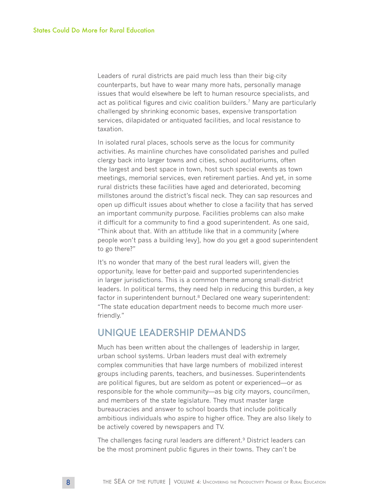Leaders of rural districts are paid much less than their big-city counterparts, but have to wear many more hats, personally manage issues that would elsewhere be left to human resource specialists, and act as political figures and civic coalition builders.7 Many are particularly challenged by shrinking economic bases, expensive transportation services, dilapidated or antiquated facilities, and local resistance to taxation.

In isolated rural places, schools serve as the locus for community activities. As mainline churches have consolidated parishes and pulled clergy back into larger towns and cities, school auditoriums, often the largest and best space in town, host such special events as town meetings, memorial services, even retirement parties. And yet, in some rural districts these facilities have aged and deteriorated, becoming millstones around the district's fiscal neck. They can sap resources and open up difficult issues about whether to close a facility that has served an important community purpose. Facilities problems can also make it difficult for a community to find a good superintendent. As one said, "Think about that. With an attitude like that in a community [where people won't pass a building levy], how do you get a good superintendent to go there?"

It's no wonder that many of the best rural leaders will, given the opportunity, leave for better-paid and supported superintendencies in larger jurisdictions. This is a common theme among small-district leaders. In political terms, they need help in reducing this burden, a key factor in superintendent burnout.<sup>8</sup> Declared one weary superintendent: "The state education department needs to become much more userfriendly."

#### UNIQUE LEADERSHIP DEMANDS

Much has been written about the challenges of leadership in larger, urban school systems. Urban leaders must deal with extremely complex communities that have large numbers of mobilized interest groups including parents, teachers, and businesses. Superintendents are political figures, but are seldom as potent or experienced—or as responsible for the whole community—as big city mayors, councilmen, and members of the state legislature. They must master large bureaucracies and answer to school boards that include politically ambitious individuals who aspire to higher office. They are also likely to be actively covered by newspapers and TV.

The challenges facing rural leaders are different.<sup>9</sup> District leaders can be the most prominent public figures in their towns. They can't be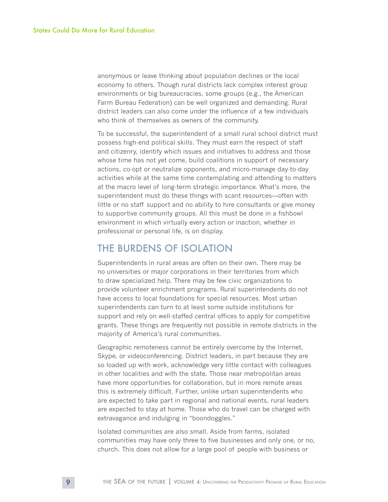anonymous or leave thinking about population declines or the local economy to others. Though rural districts lack complex interest group environments or big bureaucracies, some groups (e.g., the American Farm Bureau Federation) can be well organized and demanding. Rural district leaders can also come under the influence of a few individuals who think of themselves as owners of the community.

To be successful, the superintendent of a small rural school district must possess high-end political skills. They must earn the respect of staff and citizenry, identify which issues and initiatives to address and those whose time has not yet come, build coalitions in support of necessary actions, co-opt or neutralize opponents, and micro-manage day-to-day activities while at the same time contemplating and attending to matters at the macro level of long-term strategic importance. What's more, the superintendent must do these things with scant resources—often with little or no staff support and no ability to hire consultants or give money to supportive community groups. All this must be done in a fishbowl environment in which virtually every action or inaction, whether in professional or personal life, is on display.

#### THE BURDENS OF ISOLATION

Superintendents in rural areas are often on their own. There may be no universities or major corporations in their territories from which to draw specialized help. There may be few civic organizations to provide volunteer enrichment programs. Rural superintendents do not have access to local foundations for special resources. Most urban superintendents can turn to at least some outside institutions for support and rely on well-staffed central offices to apply for competitive grants. These things are frequently not possible in remote districts in the majority of America's rural communities.

Geographic remoteness cannot be entirely overcome by the Internet, Skype, or videoconferencing. District leaders, in part because they are so loaded up with work, acknowledge very little contact with colleagues in other localities and with the state. Those near metropolitan areas have more opportunities for collaboration, but in more remote areas this is extremely difficult. Further, unlike urban superintendents who are expected to take part in regional and national events, rural leaders are expected to stay at home. Those who do travel can be charged with extravagance and indulging in "boondoggles."

Isolated communities are also small. Aside from farms, isolated communities may have only three to five businesses and only one, or no, church. This does not allow for a large pool of people with business or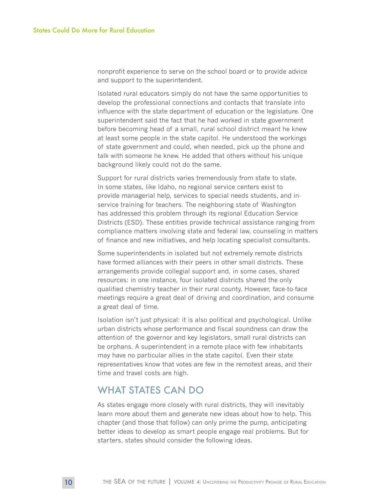nonprofit experience to serve on the school board or to provide advice and support to the superintendent.

Isolated rural educators simply do not have the same opportunities to develop the professional connections and contacts that translate into influence with the state department of education or the legislature. One superintendent said the fact that he had worked in state government before becoming head of a small, rural school district meant he knew at least some people in the state capitol. He understood the workings of state government and could, when needed, pick up the phone and talk with someone he knew. He added that others without his unique background likely could not do the same.

Support for rural districts varies tremendously from state to state. In some states, like Idaho, no regional service centers exist to provide managerial help, services to special needs students, and inservice training for teachers. The neighboring state of Washington has addressed this problem through its regional Education Service Districts (ESD). These entities provide technical assistance ranging from compliance matters involving state and federal law, counseling in matters of finance and new initiatives, and help locating specialist consultants.

Some superintendents in isolated but not extremely remote districts have formed alliances with their peers in other small districts. These arrangements provide collegial support and, in some cases, shared resources: in one instance, four isolated districts shared the only qualified chemistry teacher in their rural county. However, face-to-face meetings require a great deal of driving and coordination, and consume a great deal of time.

Isolation isn't just physical: it is also political and psychological. Unlike urban districts whose performance and fiscal soundness can draw the attention of the governor and key legislators, small rural districts can be orphans. A superintendent in a remote place with few inhabitants may have no particular allies in the state capitol. Even their state representatives know that votes are few in the remotest areas, and their time and travel costs are high.

### WHAT STATES CAN DO

As states engage more closely with rural districts, they will inevitably learn more about them and generate new ideas about how to help. This chapter (and those that follow) can only prime the pump, anticipating better ideas to develop as smart people engage real problems. But for starters, states should consider the following ideas.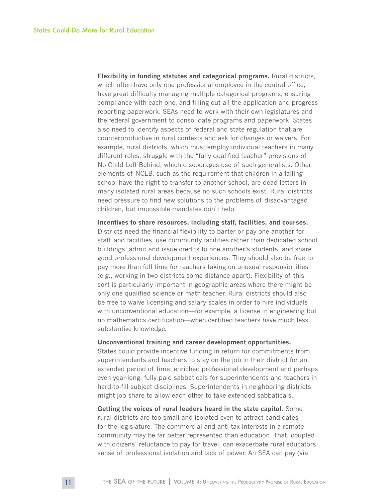**Flexibility in funding statutes and categorical programs.** Rural districts, which often have only one professional employee in the central office, have great difficulty managing multiple categorical programs, ensuring compliance with each one, and filling out all the application and progress reporting paperwork. SEAs need to work with their own legislatures and the federal government to consolidate programs and paperwork. States also need to identify aspects of federal and state regulation that are counterproductive in rural contexts and ask for changes or waivers. For example, rural districts, which must employ individual teachers in many different roles, struggle with the "fully qualified teacher" provisions of No Child Left Behind, which discourages use of such generalists. Other elements of NCLB, such as the requirement that children in a failing school have the right to transfer to another school, are dead letters in many isolated rural areas because no such schools exist. Rural districts need pressure to find new solutions to the problems of disadvantaged children, but impossible mandates don't help.

**Incentives to share resources, including staff, facilities, and courses.**  Districts need the financial flexibility to barter or pay one another for staff and facilities, use community facilities rather than dedicated school buildings, admit and issue credits to one another's students, and share good professional development experiences. They should also be free to pay more than full time for teachers taking on unusual responsibilities (e.g., working in two districts some distance apart). Flexibility of this sort is particularly important in geographic areas where there might be only one qualified science or math teacher. Rural districts should also be free to waive licensing and salary scales in order to hire individuals with unconventional education—for example, a license in engineering but no mathematics certification—when certified teachers have much less substantive knowledge.

#### **Unconventional training and career development opportunities.**

States could provide incentive funding in return for commitments from superintendents and teachers to stay on the job in their district for an extended period of time: enriched professional development and perhaps even year-long, fully paid sabbaticals for superintendents and teachers in hard-to-fill subject disciplines. Superintendents in neighboring districts might job share to allow each other to take extended sabbaticals.

**Getting the voices of rural leaders heard in the state capitol.** Some rural districts are too small and isolated even to attract candidates for the legislature. The commercial and anti-tax interests in a remote community may be far better represented than education. That, coupled with citizens' reluctance to pay for travel, can exacerbate rural educators' sense of professional isolation and lack of power. An SEA can pay (via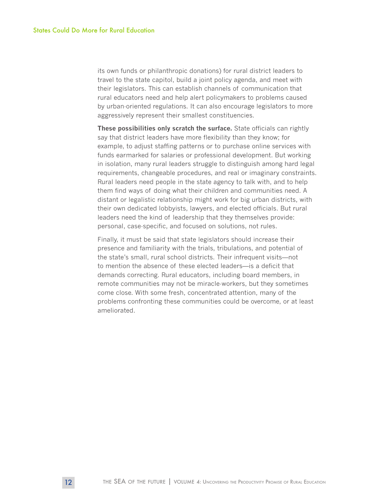its own funds or philanthropic donations) for rural district leaders to travel to the state capitol, build a joint policy agenda, and meet with their legislators. This can establish channels of communication that rural educators need and help alert policymakers to problems caused by urban-oriented regulations. It can also encourage legislators to more aggressively represent their smallest constituencies.

**These possibilities only scratch the surface.** State officials can rightly say that district leaders have more flexibility than they know; for example, to adjust staffing patterns or to purchase online services with funds earmarked for salaries or professional development. But working in isolation, many rural leaders struggle to distinguish among hard legal requirements, changeable procedures, and real or imaginary constraints. Rural leaders need people in the state agency to talk with, and to help them find ways of doing what their children and communities need. A distant or legalistic relationship might work for big urban districts, with their own dedicated lobbyists, lawyers, and elected officials. But rural leaders need the kind of leadership that they themselves provide: personal, case-specific, and focused on solutions, not rules.

Finally, it must be said that state legislators should increase their presence and familiarity with the trials, tribulations, and potential of the state's small, rural school districts. Their infrequent visits—not to mention the absence of these elected leaders—is a deficit that demands correcting. Rural educators, including board members, in remote communities may not be miracle-workers, but they sometimes come close. With some fresh, concentrated attention, many of the problems confronting these communities could be overcome, or at least ameliorated.